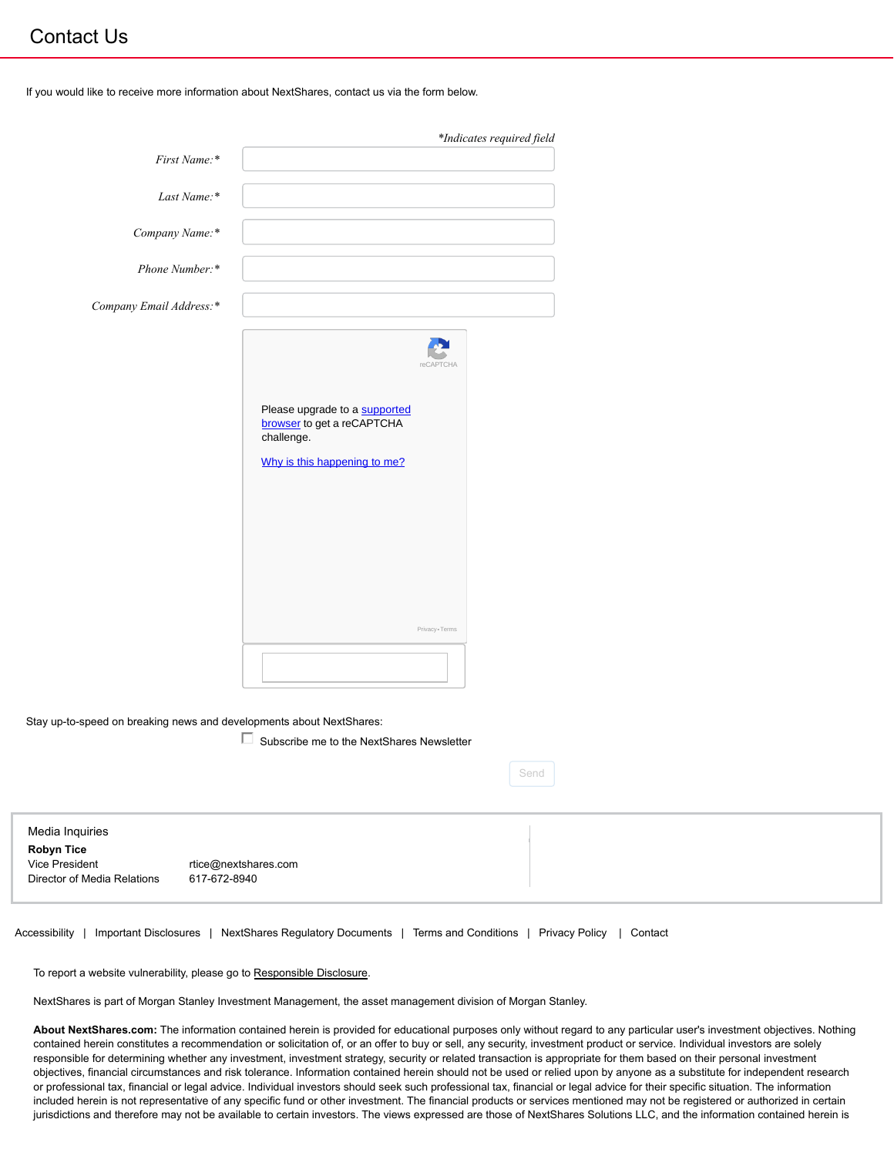## Contact Us

If you would like to receive more information about NextShares, contact us via the form below.

|                         |                                                                                                           | *Indicates required field |
|-------------------------|-----------------------------------------------------------------------------------------------------------|---------------------------|
| First Name:*            |                                                                                                           |                           |
| Last Name:*             |                                                                                                           |                           |
| Company Name:*          |                                                                                                           |                           |
| Phone Number:*          |                                                                                                           |                           |
| Company Email Address:* |                                                                                                           |                           |
|                         | Please upgrade to a supported<br>browser to get a reCAPTCHA<br>challenge.<br>Why is this happening to me? | reCAPTCHA                 |
|                         |                                                                                                           | Privacy - Terms           |
|                         |                                                                                                           |                           |

Stay up-to-speed on breaking news and developments about NextShares:

 $\Box$  Subscribe me to the NextShares Newsletter

Send

| Media Inquiries<br><b>Robyn Tice</b><br>Vice President<br>Director of Media Relations | rtice@nextshares.com<br>617-672-8940 |  |
|---------------------------------------------------------------------------------------|--------------------------------------|--|
|                                                                                       |                                      |  |

Accessibility | Important Disclosures | NextShares Regulatory Documents | Terms and Conditions | Privacy Policy | Contact

To report a website vulnerability, please go to Responsible Disclosure.

NextShares is part of Morgan Stanley Investment Management, the asset management division of Morgan Stanley.

**About NextShares.com:** The information contained herein is provided for educational purposes only without regard to any particular user's investment objectives. Nothing contained herein constitutes a recommendation or solicitation of, or an offer to buy or sell, any security, investment product or service. Individual investors are solely responsible for determining whether any investment, investment strategy, security or related transaction is appropriate for them based on their personal investment objectives, financial circumstances and risk tolerance. Information contained herein should not be used or relied upon by anyone as a substitute for independent research or professional tax, financial or legal advice. Individual investors should seek such professional tax, financial or legal advice for their specific situation. The information included herein is not representative of any specific fund or other investment. The financial products or services mentioned may not be registered or authorized in certain jurisdictions and therefore may not be available to certain investors. The views expressed are those of NextShares Solutions LLC, and the information contained herein is